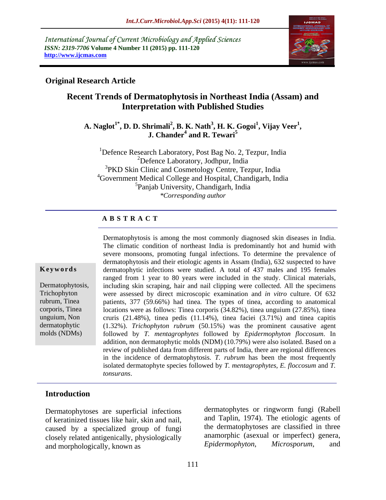International Journal of Current Microbiology and Applied Sciences *ISSN: 2319-7706* **Volume 4 Number 11 (2015) pp. 111-120 http://www.ijcmas.com**



#### **Original Research Article**

# **Recent Trends of Dermatophytosis in Northeast India (Assam) and Interpretation with Published Studies**

 $\mathbf{A}.$  Naglot $^{1*},$   $\mathbf{D}.$   $\mathbf{D}.$  Shrimali $^{2},$   $\mathbf{B}.$   $\mathbf{K}.$  Nath $^{3},$   $\mathbf{H}.$   $\mathbf{K}.$  Gogoi $^{1},$  Vijay  $\mathbf{V}\text{eer}^{1},$ **, Vijay Veer<sup>1</sup> irimali<sup>2</sup>, B. K. Nath<sup>3</sup>, H. K. Gogoi<sup>1</sup>, Vijay Veer<sup>1</sup>,<br>J. Chander<sup>4</sup> and R. Tewari<sup>5</sup> and R. Tewari<sup>5</sup>**

1Defence Research Laboratory, Post Bag No. 2, Tezpur, India 2Defence Laboratory, Jodhpur, India <sup>3</sup>PKD Skin Clinic and Cosmetology Centre, Tezpur, India <sup>4</sup>Government Medical College and Hospital, Chandigarh, India 5Panjab University, Chandigarh, India *\*Corresponding author*

#### **A B S T R A C T**

molds (NDMs)

Dermatophytosis is among the most commonly diagnosed skin diseases in India. The climatic condition of northeast India is predominantly hot and humid with severe monsoons, promoting fungal infections. To determine the prevalence of dermatophytosis and their etiologic agents in Assam (India), 632 suspected to have dermatophytic infections were studied. A total of 437 males and 195 females ranged from 1 year to 80 years were included in the study. Clinical materials, Dermatophytosis, including skin scraping, hair and nail clipping were collected. All the specimens were assessed by direct microscopic examination and *in vitro* culture. Of 632 Trichophyton patients, 377 (59.66%) had tinea. The types of tinea, according to anatomical rubrum, Tinea locations were as follows: Tinea corporis (34.82%), tinea unguium (27.85%), tinea corporis, Tinea cruris (21.48%), tinea pedis (11.14%), tinea faciei (3.71%) and tinea capitis unguium, Non (1.32%). *Trichophyton rubrum* (50.15%) was the prominent causative agent dermatophytic followed by *T. mentagrophytes* followed by *Epidermophyton floccosum*. In addition, non dermatophytic molds (NDM) (10.79%) were also isolated. Based on a review of published data from different parts of India, there are regional differences in the incidence of dermatophytosis. *T. rubrum* has been the most frequently isolated dermatophyte species followed by *T. mentagrophytes*, *E. floccosum* and *T.*  **Keywords**<br> **Keywords dermatophyto**: infections were studied. A total of 437 males and 195 females<br>
ranged from 1 year to 80 years were included in the study. Clinical materials,<br>
including skin scraping, hair and nail

#### **Introduction**

Dermatophytoses are superficial infections of keratinized tissues like hair, skin and nail, caused by a specialized group of fungi and morphologically, known as

closely related antigenically, physiologically anamorphic (asexual or imperfect) genera,<br>and morphologically known as  $Epidermophyton$ , Microsporum, and dermatophytes or ringworm fungi (Rabell and Taplin, 1974). The etiologic agents of the dermatophytoses are classified in three anamorphic (asexual or imperfect) genera, *Epidermophyton*, *Microsporum*, and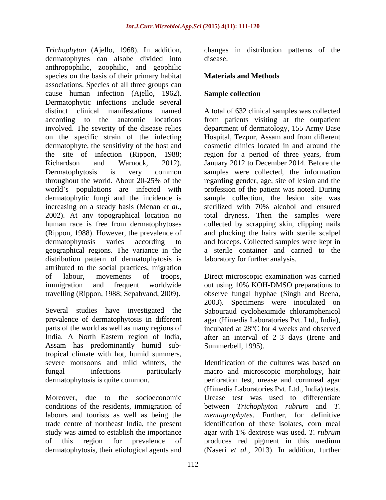*Trichophyton* (Ajello, 1968). In addition, dermatophytes can alsobe divided into disease. anthropophilic, zoophilic, and geophilic species on the basis of their primary habitat associations. Species of all three groups can cause human infection (Ajello, 1962). Dermatophytic infections include several distinct clinical manifestations named A total of 632 clinical samples was collected according to the anatomic locations from patients visiting at the outpatient involved. The severity of the disease relies department of dermatology, 155 Army Base on the specific strain of the infecting dermatophyte, the sensitivity of the host and the site of infection (Rippon, 1988; region for a period of three years, from Richardson and Warnock, 2012). January 2012 to December 2014. Before the Dermatophytosis is very common samples were collected, the information throughout the world. About 20-25% of the regarding gender, age, site of lesion and the world's populations are infected with profession of the patient was noted. During dermatophytic fungi and the incidence is increasing on a steady basis (Menan *et al.*, sterilized with 70% alcohol and ensured 2002). At any topographical location no total dryness. Then the samples were human race is free from dermatophytoses collected by scrapping skin, clipping nails (Rippon, 1988). However, the prevalence of and plucking the hairs with sterile scalpel dermatophytosis varies according to and forceps. Collected samples were kept in geographical regions. The variance in the a sterile container and carried to the distribution pattern of dermatophytosis is attributed to the social practices, migration of labour, movements of troops, Direct microscopic examination was carried immigration and frequent worldwide out using 10% KOH-DMSO preparations to travelling (Rippon, 1988; Sepahvand, 2009).

Several studies have investigated the Sabouraud cycloheximide chloramphenicol prevalence of dermatophytosis in different agar (Himedia Laboratories Pvt. Ltd., India), parts of the world as well as many regions of incubated at 28°C for 4 weeks and observed India. A North Eastern region of India, after an interval of 2–3 days (Irene and Assam has predominantly humid subtropical climate with hot, humid summers,

trade centre of northeast India, the present dermatophytosis, their etiological agents and

changes in distribution patterns of the disease.

### **Materials and Methods**

### **Sample collection**

Hospital, Tezpur, Assam and from different cosmetic clinics located in and around the region for a period of three years, from sample collection, the lesion site was laboratory for further analysis.

observe fungal hyphae (Singh and Beena, 2003). Specimens were inoculated on Summerbell, 1995).

severe monsoons and mild winters, the Identification of the cultures was based on fungal infections particularly macro and microscopic morphology, hair dermatophytosis is quite common. perforation test, urease and cornmeal agar Moreover, due to the socioeconomic Urease test was used to differentiate conditions of the residents, immigration of between *Trichophyton rubrum* and *T.*  labours and tourists as well as being the *mentagrophytes*. Further, for definitive study was aimed to establish the importance agar with 1% dextrose was used. *T. rubrum* of this region for prevalence of produces red pigment in this medium (Himedia Laboratories Pvt. Ltd., India) tests. identification of these isolates, corn meal (Naseri *et al.,* 2013). In addition, further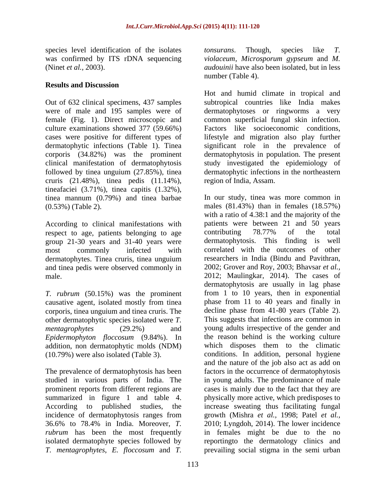species level identification of the isolates *tonsurans*. Though, species like *T*. was confirmed by ITS rDNA sequencing

## **Results and Discussion**

followed by tinea unguium (27.85%), tinea cruris (21.48%), tinea pedis (11.14%), tineafaciei (3.71%), tinea capitis (1.32%), tinea mannum (0.79%) and tinea barbae

According to clinical manifestations with patients wer<br>respect to age, patients belonging to age contributing respect to age, patients belonging to age contributing 78.77% of the total group 21-30 years and 31-40 years were dermatophytosis. This finding is well dermatophytes. Tinea cruris, tinea unguium and tinea pedis were observed commonly in

*T. rubrum* (50.15%) was the prominent causative agent, isolated mostly from tinea corporis, tinea unguium and tinea cruris. The other dermatophytic species isolated were *T. Epidermophyton floccosum* (9.84%). In addition, non dermatophytic molds (NDM)

The prevalence of dermatophytosis has been studied in various parts of India. The incidence of dermatophytosis ranges from

(Ninet *et al.,* 2003). *audouinii* have also been isolated, but in less *tonsurans*. Though, species like *T. violaceum*, *Microsporum gypseum* and *M.*  number (Table 4).

Out of 632 clinical specimens,437 samples subtropical countries like India makes were of male and 195 samples were of dermatophytoses or ringworms a very female (Fig. 1). Direct microscopic and common superficial fungal skin infection. culture examinations showed 377 (59.66%) Factors like socioeconomic conditions, cases were positive for different types of lifestyle and migration also play further dermatophytic infections (Table 1). Tinea significant role in the prevalence of corporis (34.82%) was the prominent dermatophytosis in population. The present clinical manifestation of dermatophytosis study investigated the epidemiology of Hot and humid climate in tropical and dermatophytic infections in the northeastern region of India, Assam.

(0.53%) (Table 2). males (81.43%) than in females (18.57%) most commonly infected with correlated with the outcomes of other male. 2012; Maulingkar, 2014). The cases of *mentagrophytes* (29.2%) and young adults irrespective of the gender and (10.79%) were also isolated (Table 3). conditions. In addition, personal hygiene prominent reports from different regions are cases is mainly due to the fact that they are summarized in figure 1 and table 4. physically more active, which predisposes to According to published studies, the increase sweating thus facilitating fungal 36.6% to 78.4% in India. Moreover, *T.*  2010; Lyngdoh, 2014). The lower incidence *rubrum* has been the most frequently in females might be due to the no isolated dermatophyte species followed by reportingto the dermatology clinics and *T. mentagrophytes*, *E. floccosum* and *T.*  prevailing social stigma in the semi urbanIn our study, tinea was more common in with a ratio of 4.38:1 and the majority of the patients were between 21 and 50 years contributing 78.77% of the total dermatophytosis. This finding is researchers in India (Bindu and Pavithran, 2002; Grover and Roy, 2003; Bhavsar *et al.,* dermatophytosis are usually in lag phase from 1 to 10 years, then in exponential phase from 11 to 40 years and finally in decline phase from 41-80 years (Table 2). This suggests that infections are common in the reason behind is the working culture which disposes them to the climatic and the nature of the job also act as add on factors in the occurrence of dermatophytosis in young adults. The predominance of male growth (Mishra *et al.,* 1998; Patel *et al.,*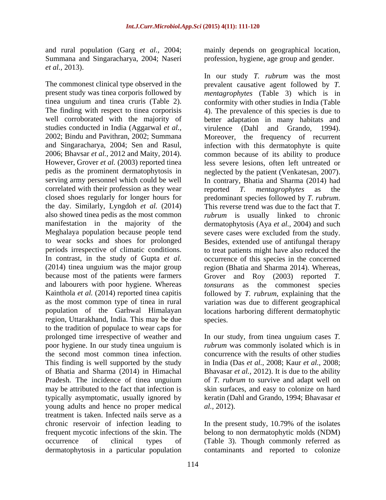and rural population (Garg *et al.,* 2004; Summana and Singaracharya, 2004; Naseri *et al.,* 2013).

studies conducted in India (Aggarwal *et al.*, virulence (Dahl and Grando, 1994). correlated with their profession as they wear reported T. mentagrophytes as the closed shoes regularly for longer hours for predominant species followed by T. rubrum. the day. Similarly, Lyngdoh *et al.* (2014) and labourers with poor hygiene. Whereas tonsurans as the commonest species <br>Kainthola *et al.* (2014) reported tinea capitis followed by *T. rubrum*, explaining that the region, Uttarakhand, India. This may be due to the tradition of populace to wear caps for prolonged time irrespective of weather and In our study, from tinea unguium cases *T.*  poor hygiene. In our study tinea unguium is *rubrum* was commonly isolated which is in the second most common tinea infection. This finding is well supported by the study of Bhatia and Sharma (2014) in Himachal Bhavasar *et al.,* 2012). It is due to the ability Pradesh. The incidence of tinea unguium of *T. rubrum* to survive and adapt well on may be attributed to the fact that infection is skin surfaces, and easy to colonize on hard typically asymptomatic, usually ignored by keratin (Dahl and Grando, 1994; Bhavasar *et*  young adults and hence no proper medical *al.*, 2012). treatment is taken. Infected nails serve as a chronic reservoir of infection leading to In the present study, 10.79% of the isolates frequent mycotic infections of the skin. The belong to non dermatophytic molds (NDM) occurrence of clinical types of (Table 3). Though commonly referred as dermatophytosis in a particular population contaminants and reported to colonize

mainly depends on geographical location, profession, hygiene, age group and gender.

The commonest clinical type observed in the prevalent causative agent followed by *T.*  present study was tinea corporis followed by *mentagrophytes* (Table 3) which is in tinea unguium and tinea cruris (Table 2). conformity with other studies in India (Table The finding with respect to tinea corporisis 4). The prevalence of this species is due to well corroborated with the majority of better adaptation in many habitats and 2002; Bindu and Pavithran, 2002; Summana Moreover, the frequency of recurrent and Singaracharya, 2004; Sen and Rasul, infection with this dermatophyte is quite 2006; Bhavsar *et al.,* 2012 and Maity, 2014). common because of its ability to produce However, Grover *et al.* (2003) reported tinea less severe lesions, often left untreated or pedis as the prominent dermatophytosis in neglected by the patient (Venkatesan, 2007). serving army personnel which could be well In contrary, Bhatia and Sharma (2014) had also showed tinea pedis as the most common *rubrum* is usually linked to chronic manifestation in the majority of the dermatophytosis (Aya *et al.,* 2004) and such Meghalaya population because people tend severe cases were excluded from the study. to wear socks and shoes for prolonged Besides, extended use of antifungal therapy periods irrespective of climatic conditions. to treat patients might have also reduced the In contrast, in the study of Gupta *et al.* occurrence of this species in the concerned (2014) tinea unguium was the major group region (Bhatia and Sharma 2014). Whereas, because most of the patients were farmers Grover and Roy (2003) reported *T.*  Kainthola *et al.* (2014) reported tinea capitis followed by *T. rubrum*, explaining that the as the most common type of tinea in rural variation was due to different geographical population of the Garhwal Himalayan locations harboring different dermatophytic In our study *T. rubrum* was the most virulence (Dahl and Grando, 1994). reported *T. mentagrophytes* as the predominant species followed by *T. rubrum*. This reverse trend was due to the fact that *T. tonsurans* as the commonest species.

> concurrence with the results of other studies in India (Das *et al.,* 2008; Kaur *et al.,* 2008; *al.,* 2012).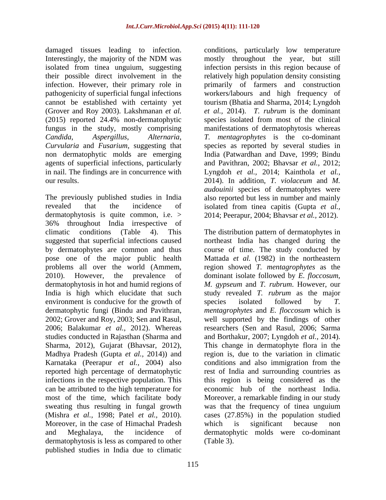(Grover and Roy 2003). Lakshmanan *et al. Candida*, *Aspergillus*, *Alternaria*, *Curvularia* and *Fusarium*, suggesting that

The previously published studies in India also reported but less in number and mainly revealed that the incidence of isolated from tinea capitis (Gupta *et al.,* dermatophytosis is quite common, i.e. > 2014; Peerapur, 2004; Bhavsar *et al.,* 2012). 36% throughout India irrespective of by dermatophytes are common and thus environment is conducive for the growth of species isolated followed by T. 2002; Grover and Roy, 2003; Sen and Rasul, Madhya Pradesh (Gupta *et al.,* 2014)) and Karnataka (Peerapur *et al.,* 2004) also Moreover, in the case of Himachal Pradesh which is significant because non dermatophytosis is less as compared to other published studies in India due to climatic

damaged tissues leading to infection. conditions, particularly low temperature Interestingly, the majority of the NDM was mostly throughout the year, but still isolated from tinea unguium, suggesting infection persists in this region because of their possible direct involvement in the relatively high population density consisting infection. However, their primary role in primarily of farmers and construction pathogenicity of superficial fungal infections workers/labours and high frequency of cannot be established with certainty yet tourism (Bhatia and Sharma, 2014; Lyngdoh (2015) reported 24.4% non-dermatophytic species isolated from most of the clinical fungus in the study, mostly comprising manifestations of dermatophytosis whereas non dermatophytic molds are emerging India (Patwardhan and Dave, 1999; Bindu agents of superficial infections, particularly and Pavithran, 2002; Bhavsar *et al.,* 2012; in nail. The findings are in concurrence with Lyngdoh *et al.,* 2014; Kainthola *et al.,* our results. 2014). In addition, *T. violaceum* and *M.*  mostly throughout the year, but still *et al.,* 2014). *T. rubrum* is the dominant *T. mentagrophytes* is the co-dominant species as reported by several studies in *audouinii* species of dermatophytes were

climatic conditions (Table 4). This The distribution pattern of dermatophytes in suggested that superficial infections caused northeast India has changed during the pose one of the major public health Mattada *et al.* (1982) in the northeastern problems all over the world (Ammem, region showed *T. mentagrophytes* as the 2010). However, the prevalence of dominant isolate followed by *E. floccosum*, dermatophytosis in hot and humid regions of *M. gypseum* and *T. rubrum*. However, our India is high which elucidate that such study revealed *T. rubrum* as the major dermatophytic fungi (Bindu and Pavithran, *mentagrophytes* and *E. floccosum* which is 2006; Balakumar *et al.,* 2012). Whereas researchers (Sen and Rasul, 2006; Sarma studies conducted in Rajasthan (Sharma and and Borthakur, 2007; Lyngdoh *et al.,* 2014). Sharma, 2012), Gujarat (Bhavsar, 2012), This change in dermatophyte flora in the reported high percentage of dermatophytic rest of India and surrounding countries as infections in the respective population. This this region is being considered as the can be attributed to the high temperature for economic hub of the northeast India. most of the time, which facilitate body Moreover, a remarkable finding in our study sweating thus resulting in fungal growth was that the frequency of tinea unguium (Mishra *et al.,* 1998; Patel *et al.,* 2010). cases (27.85%) in the population studied and Meghalaya, the incidence of dermatophytic molds were co-dominant course of time. The study conducted by species isolated followed by *T.*  well supported by the findings of other region is, due to the variation in climatic conditions and also immigration from the which is significant because non (Table 3).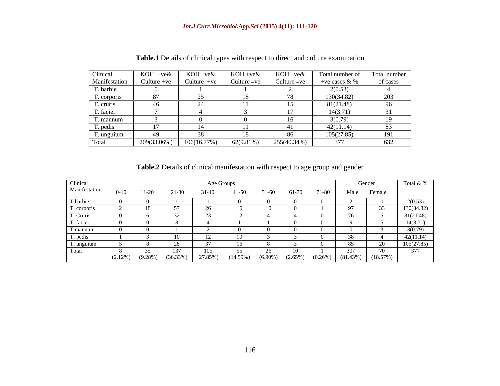|                                               | KOH +ve&                                                                                 | k KOH-ve& | KOH +ve&                                                                        | $\mathcal{L}$ KOH-ve& | Total number of Total number |          |
|-----------------------------------------------|------------------------------------------------------------------------------------------|-----------|---------------------------------------------------------------------------------|-----------------------|------------------------------|----------|
| Clinical<br>Manifestation                     |                                                                                          |           | Culture +ve $\vert$ Culture +ve $\vert$ Culture -ve $\vert$ Culture -ve $\vert$ |                       | +ve cases $& \%$             | of cases |
| T. barbie                                     |                                                                                          |           |                                                                                 |                       | 2(0.53)                      |          |
|                                               |                                                                                          |           |                                                                                 |                       | 30(34.82)                    |          |
| $\frac{T. \text{corporis}}{T. \text{cruris}}$ |                                                                                          |           |                                                                                 |                       | 81(21.48)                    |          |
| T. faciei                                     |                                                                                          |           |                                                                                 |                       | 14(3.71)                     |          |
| T. mannum                                     |                                                                                          |           |                                                                                 |                       |                              |          |
| T. pedis                                      |                                                                                          |           |                                                                                 |                       | 42(11.14)                    |          |
|                                               |                                                                                          |           |                                                                                 |                       | 105(27.85)                   | 191      |
| T. unguium<br>Total                           | $\begin{array}{ c c c c c c c c } \hline 209(33.06\%) & 106(16.77\%) \hline \end{array}$ |           | 62(9.81%)                                                                       | 255(40.34%)           | 377                          | 632      |

**Table.1** Details of clinical types with respect to direct and culture examination

| <b>Table.2</b> Details of clinical<br>manitest. | station with respect to age group and gender |  |  |
|-------------------------------------------------|----------------------------------------------|--|--|
|                                                 |                                              |  |  |

| Clinical      |              |            |          |         |             |        |       |        | Gender                                                   |                          | Total $&$ % |
|---------------|--------------|------------|----------|---------|-------------|--------|-------|--------|----------------------------------------------------------|--------------------------|-------------|
| Manifestation | $(1) - 1(1)$ |            |          |         | 1-50 -      | $1-60$ | 61-70 | 1.80 - | Male                                                     | Female                   |             |
| T.barbie      |              |            |          |         |             |        |       |        |                                                          |                          | 2(0.53)     |
| Γ. corporis   |              |            |          |         |             |        |       |        |                                                          |                          | 130(34.82)  |
| T. Cruris     |              |            |          |         |             |        |       |        |                                                          |                          | 81(21.48)   |
| r. faciei     |              |            |          |         |             |        |       |        |                                                          |                          | 14(3.71)    |
| T.mannum      |              |            |          |         |             |        |       |        |                                                          |                          | 3(0.79)     |
| r. pedis      |              |            |          |         |             |        |       |        |                                                          |                          | 42(11.14)   |
| . unguiui     |              |            |          |         |             |        |       |        |                                                          |                          | 105(27.85)  |
| Fotal         |              |            |          |         | - - -       |        |       |        | $\cup$ $\cup$                                            | $\overline{\phantom{0}}$ |             |
|               | $(2.12\%)$   | $(9.28\%)$ | (36.33%) | 27.85%) | $(14.59\%)$ |        |       |        | $(6.90\%)$ $(2.65\%)$ $(0.26\%)$ $(81.43\%)$ $(18.57\%)$ |                          |             |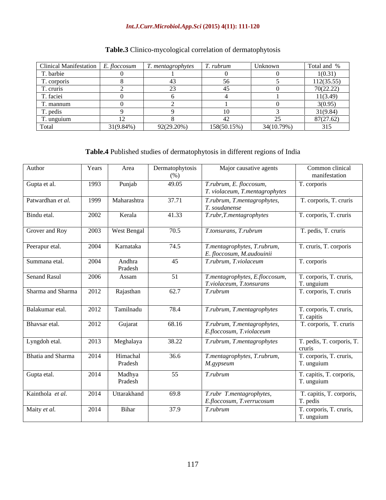#### *Int.J.Curr.Microbiol.App.Sci* **(2015) 4(11): 111-120**

| Clinical Manifestation $\Big  E$ . floccosum |              | $\mid$ T. mentagrophytes $\mid$ T. rubrum |                | Unknown    | Total and % |
|----------------------------------------------|--------------|-------------------------------------------|----------------|------------|-------------|
| ı'. barbie                                   |              |                                           |                |            | (0.31)      |
| T. corporis                                  |              |                                           |                |            | 112(35.55)  |
| T. cruris                                    |              |                                           |                |            | 70(22.22)   |
| T. faciei                                    |              |                                           |                |            | 11(3.49)    |
| f. mannum                                    |              |                                           |                |            | (0.95)      |
| T. pedis                                     |              |                                           |                |            | 21(9.84)    |
| T. unguium                                   |              |                                           |                |            | 87(27.62)   |
| l`otal                                       | $31(9.84\%)$ | 92(29.20%)                                | $158(50.15\%)$ | 34(10.79%) | 315         |

# **Table.3** Clinico-mycological correlation of dermatophytosis

# **Table.4** Published studies of dermatophytosis in different regions of India

| Author              | Years | Area                | Dermatophytosis<br>(% ) | Major causative agents                                     | Common clinical<br>manifestation                    |
|---------------------|-------|---------------------|-------------------------|------------------------------------------------------------|-----------------------------------------------------|
| Gupta et al.        | 1993  | Punjab              | 49.05                   | T.rubrum, E. floccosum,<br>T. violaceum, T.mentagrophytes  | T. corporis                                         |
| Patwardhan et al.   |       | 1999 Maharashtra    | 37.71                   | T.rubrum, T.mentagrophytes,<br>T. soudanense               | T. corporis, T. cruris                              |
| Bindu etal.         | 2002  | Kerala              | 41.33                   | T.rubr, T.mentagrophytes                                   | T. corporis, T. cruris                              |
| Grover and Roy      |       | 2003   West Bengal  | 70.5                    | T.tonsurans, T.rubrum                                      | T. pedis, T. cruris                                 |
| Peerapur etal.      | 2004  | Karnataka           | 74.5                    | T.mentagrophytes, T.rubrum,                                | T. cruris, T. corporis                              |
| Summana etal.       | 2004  | Andhra<br>Pradesh   | - 45                    | E. floccosum, M.audouinii<br>$\mid$ T.rubrum, T.violaceum  | T. corporis                                         |
| <b>Senand Rasul</b> | 2006  | Assam               | 51                      | T.mentagrophytes, E.floccosum,<br>T.violaceum, T.tonsurans | T. corporis, T. cruris,                             |
| Sharma and Sharma   | 2012  | Rajasthan           | 62.7                    | T.rubrum                                                   | T. unguium<br>T. corporis, T. cruris                |
| Balakumar etal.     | 2012  | Tamilnadu           | 78.4                    | T.rubrum, T.mentagrophytes                                 | T. corporis, T. cruris,                             |
| Bhavsar etal.       | 2012  | Gujarat             | 68.16                   | T.rubrum, T.mentagrophytes,                                | T. capitis<br>T. corporis, T. cruris                |
| Lyngdoh etal.       | 2013  | Meghalaya           | 38.22                   | E.floccosum, T.violaceum<br>T.rubrum, T.mentagrophytes     | T. pedis, T. corporis, T.                           |
|                     |       |                     |                         |                                                            | cruris                                              |
| Bhatia and Sharma   | 2014  | Himachal<br>Pradesh | 36.6                    | T.mentagrophytes, T.rubrum,<br>$M$ .gypseum                | T. corporis, T. cruris,<br>$\overline{1}$ . unguium |
| Gupta etal.         | 2014  | Madhya<br>Pradesh   | 55                      | T.rubrum                                                   | T. capitis, T. corporis,<br>T. unguium              |
| Kainthola et al.    |       | 2014   Uttarakhand  | 69.8                    | T.rubr T.mentagrophytes,                                   | T. capitis, T. corporis,                            |
|                     | 2014  |                     |                         | E.floccosum, T.verrucosum                                  | T. pedis                                            |
| Maity et al.        |       | Bihar               | 37.9                    | T.rubrum                                                   | T. corporis, T. cruris,<br>T. unguium               |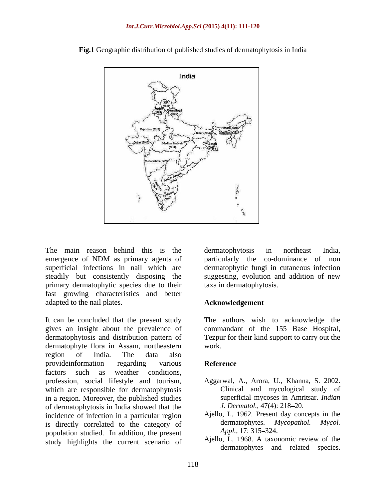

**Fig.1** Geographic distribution of published studies of dermatophytosis in India

The main reason behind this is the dermatophytosis in northeast India, emergence of NDM as primary agents of particularly the co-dominance of non superficial infections in nail which are dermatophytic fungi in cutaneous infection steadily but consistently disposing the suggesting, evolution and addition of new primary dermatophytic species due to their fast growing characteristics and better adapted to the nail plates.

It can be concluded that the present study The authors wish to acknowledge the gives an insight about the prevalence of commandant of the 155 Base Hospital, dermatophytosis and distribution pattern of Tezpur for their kind support to carry out the dermatophyte flora in Assam, northeastern region of India. The data also provideinformation regarding various **Reference** factors such as weather conditions, profession, social lifestyle and tourism, Aggarwal, A., Arora, U., Khanna, S. 2002. which are responsible for dermatophytosis in a region. Moreover, the published studies of dermatophytosis in India showed that the incidence of infection in a particular region<br>is directly correlated to the category of dermatophytes. Mycopathol. Mycol. is directly correlated to the category of dermatophytes. M<br>nopulation studied In addition the present  $\Delta ppl$ , 17:315–324. population studied. In addition, the present study highlights the current scenario of

dermatophytosis in northeast India, particularly the co-dominance of taxa in dermatophytosis.

#### **Acknowledgement**

work.

#### **Reference**

- Clinical and mycological study of superficial mycoses in Amritsar. *Indian J. Dermatol.,* 47(4): 218-20.
- Ajello, L. 1962. Present day concepts in the dermatophytes. *Mycopathol. Mycol. Appl.,* 17: 315–324.
- Ajello, L. 1968. A taxonomic review of the dermatophytes and related species.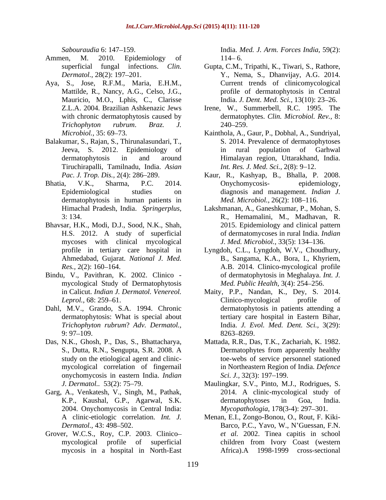- Ammen, M. 2010. Epidemiology of 114–6.
- Aya, S., Jose, R.F.M., Maria, E.H.M., Mauricio, M.O., Lphis, C., Clarisse
- Balakumar, S., Rajan, S., Thirunalasundari, T., Tiruchirapalli, Tamilnadu, India. *Asian*
- Bhatia, V.K., Sharma, P.C. 2014. dermatophytosis in human patients in
- Bhavsar, H.K., Modi, D.J., Sood, N.K., Shah, mycoses with clinical mycological
- Bindu, V., Pavithran, K. 2002. Clinico mycological Study of Dermatophytosis
- Dahl, M.V., Grando, S.A. 1994. Chronic
- mycological correlation of fingernail onychomycosis in eastern India. *Indian*
- Garg, A., Venkatesh, V., Singh, M., Pathak, 2004. Onychomycosis in Central India:
- Grover, W.C.S., Roy, C.P. 2003. Clinico mycosis in a hospital in North-East

*Sabouraudia* 6: 147 159. India. *Med. J. Arm. Forces India,* 59(2):  $114 - 6.$ 

- superficial fungal infections. *Clin.*  Gupta, C.M., Tripathi, K., Tiwari, S., Rathore, *Dermatol.,* 28(2): 197 201. Y., Nema, S., Dhanvijay, A.G. 2014. Mattilde, R., Nancy, A.G., Celso, J.G., profile of dermatophytosis in Central Current trends of clinicomycological India. *J. Dent. Med. Sci.*, 13(10): 23-26.
- Z.L.A. 2004. Brazilian Ashkenazic Jews Irene, W., Summerbell, R.C. 1995. The with chronic dermatophytosis caused by dermatophytes. *Clin. Microbiol. Rev.,* 8: *Trichophyton rubrum*. *Braz. J.* 240 259.
- *Microbiol.,* 35: 69 73. Kainthola, A., Gaur, P., Dobhal, A., Sundriyal, Jeeva, S. 2012. Epidemiology of dermatophytosis in and around Himalayan region, Uttarakhand, India. S. 2014. Prevalence of dermatophytoses in rural population of Garhwal *Int. Res. J. Med. Sci.,* 2(8): 9-12.
- *Pac. J. Trop. Dis.,* 2(4): 286 289. Kaur, R., Kashyap, B., Bhalla, P. 2008. Epidemiological studies on diagnosis and management. *Indian J.* Onychomycosis- epidemiology, *Med. Microbiol., 26(2): 108-116.*
- Himachal Pradesh, India. *Springerplus,* Lakshmanan, A., Ganeshkumar, P., Mohan, S. 3: 134. R., Hemamalini, M., Madhavan, R. H.S. 2012. A study of superficial of dermatomycoses in rural India. *Indian*  2015. Epidemiology and clinical pattern *J. Med. Microbiol.,* 33(5): 134 136.
- profile in tertiary care hospital in Lyngdoh, C.L., Lyngdoh, W.V., Choudhury, Ahmedabad, Gujarat. *National J. Med.* B., Sangama, K.A., Bora, I., Khyriem, *Res.*, 2(2): 160–164. **A.B.** 2014. Clinico-mycological profile of dermatophytosis in Meghalaya. *Int. J. Med. Public Health, 3(4): 254-256.*
- in Calicut. *Indian J. Dermatol. Venereol.* Maity, P.P., Nandan, K., Dey, S. 2014. *Leprol.*, 68: 259–61. Clinico-mycological profile of dermatophytosis: What is special about tertiary care hospital in Eastern Bihar, *Trichophyton rubrum*? *Adv. Dermatol.,* India. *J. Evol. Med. Dent. Sci.,* 3(29):  $9: 97-109.$  8263-8269. Clinico-mycological profile of dermatophytosis in patients attending a 8263–8269.
- Das, N.K., Ghosh, P., Das, S., Bhattacharya, Mattada, R.R., Das, T.K., Zachariah, K. 1982. S., Dutta, R.N., Sengupta, S.R. 2008. A study on the etiological agent and clinic- toe-webs of service personnel stationed Dermatophytes from apparently healthy in Northeastern Region of India. *Defence Sci. J.,* 32(3): 197–199.
	- *J. Dermatol..* 53(2): 75 79. Maulingkar, S.V., Pinto, M.J., Rodrigues, S. K.P., Kaushal, G.P., Agarwal, S.K. 2014. A clinic-mycological study of dermatophytoses in Goa, India. *Mycopathologia,* 178(3-4): 297–301.
	- A clinic-etiologic correlation. *Int. J.* Menan, E.I., Zongo-Bonou, O., Rout, F. Kiki- *Dermatol.,* 43: 498–502. **Barco, P.C., Yavo, W., N'Guessan, F.N.** *Barco, P.C.*, Yavo, W., N'Guessan, F.N. mycological profile of superficial children from Ivory Coast (western *et al.* 2002. Tinea capitis in school Africa).A 1998-1999 cross-sectional